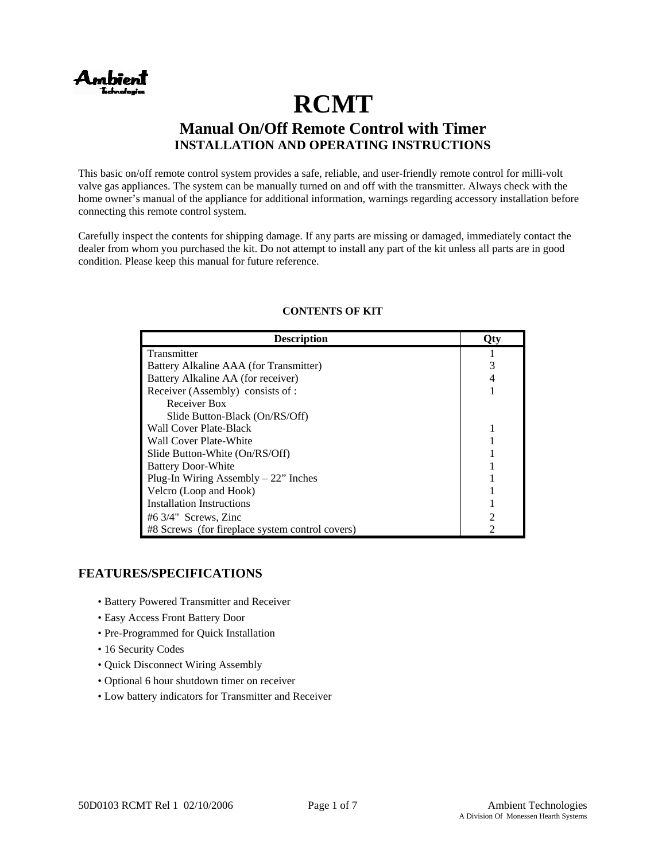

# **RCMT Manual On/Off Remote Control with Timer INSTALLATION AND OPERATING INSTRUCTIONS**

This basic on/off remote control system provides a safe, reliable, and user-friendly remote control for milli-volt valve gas appliances. The system can be manually turned on and off with the transmitter. Always check with the home owner's manual of the appliance for additional information, warnings regarding accessory installation before connecting this remote control system.

Carefully inspect the contents for shipping damage. If any parts are missing or damaged, immediately contact the dealer from whom you purchased the kit. Do not attempt to install any part of the kit unless all parts are in good condition. Please keep this manual for future reference.

| <b>Description</b>                              |  |
|-------------------------------------------------|--|
| Transmitter                                     |  |
| Battery Alkaline AAA (for Transmitter)          |  |
| Battery Alkaline AA (for receiver)              |  |
| Receiver (Assembly) consists of :               |  |
| Receiver Box                                    |  |
| Slide Button-Black (On/RS/Off)                  |  |
| Wall Cover Plate-Black                          |  |
| Wall Cover Plate-White                          |  |
| Slide Button-White (On/RS/Off)                  |  |
| <b>Battery Door-White</b>                       |  |
| Plug-In Wiring Assembly $-22$ " Inches          |  |
| Velcro (Loop and Hook)                          |  |
| <b>Installation Instructions</b>                |  |
| $#6\frac{3}{4}$ " Screws, Zinc                  |  |
| #8 Screws (for fireplace system control covers) |  |

## **CONTENTS OF KIT**

# **FEATURES/SPECIFICATIONS**

- Battery Powered Transmitter and Receiver
- Easy Access Front Battery Door
- Pre-Programmed for Quick Installation
- 16 Security Codes
- Quick Disconnect Wiring Assembly
- Optional 6 hour shutdown timer on receiver
- Low battery indicators for Transmitter and Receiver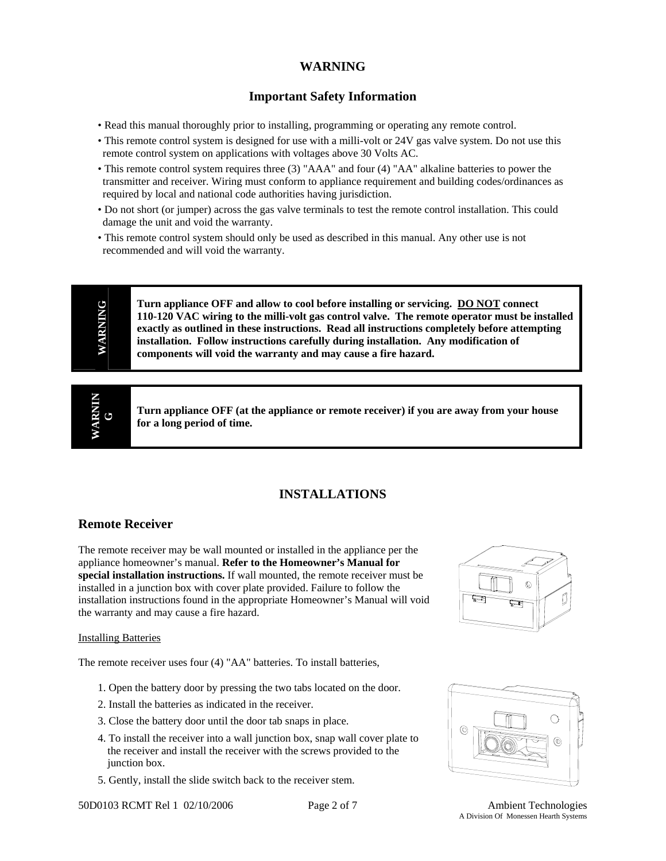# **WARNING**

# **Important Safety Information**

- Read this manual thoroughly prior to installing, programming or operating any remote control.
- This remote control system is designed for use with a milli-volt or 24V gas valve system. Do not use this remote control system on applications with voltages above 30 Volts AC.
- This remote control system requires three (3) "AAA" and four (4) "AA" alkaline batteries to power the transmitter and receiver. Wiring must conform to appliance requirement and building codes/ordinances as required by local and national code authorities having jurisdiction.
- Do not short (or jumper) across the gas valve terminals to test the remote control installation. This could damage the unit and void the warranty.
- This remote control system should only be used as described in this manual. Any other use is not recommended and will void the warranty.

WARNING VARNING

**Turn appliance OFF and allow to cool before installing or servicing. DO NOT connect 110-120 VAC wiring to the milli-volt gas control valve. The remote operator must be installed exactly as outlined in these instructions. Read all instructions completely before attempting installation. Follow instructions carefully during installation. Any modification of components will void the warranty and may cause a fire hazard.**

**MINRIV WARNIN G** 

**Turn appliance OFF (at the appliance or remote receiver) if you are away from your house for a long period of time.** 

# **INSTALLATIONS**

# **Remote Receiver**

The remote receiver may be wall mounted or installed in the appliance per the appliance homeowner's manual. **Refer to the Homeowner's Manual for special installation instructions.** If wall mounted, the remote receiver must be installed in a junction box with cover plate provided. Failure to follow the installation instructions found in the appropriate Homeowner's Manual will void the warranty and may cause a fire hazard.

#### Installing Batteries

The remote receiver uses four (4) "AA" batteries. To install batteries,

- 1. Open the battery door by pressing the two tabs located on the door.
- 2. Install the batteries as indicated in the receiver.
- 3. Close the battery door until the door tab snaps in place.
- 4. To install the receiver into a wall junction box, snap wall cover plate to the receiver and install the receiver with the screws provided to the junction box.
- 5. Gently, install the slide switch back to the receiver stem.







A Division Of Monessen Hearth Systems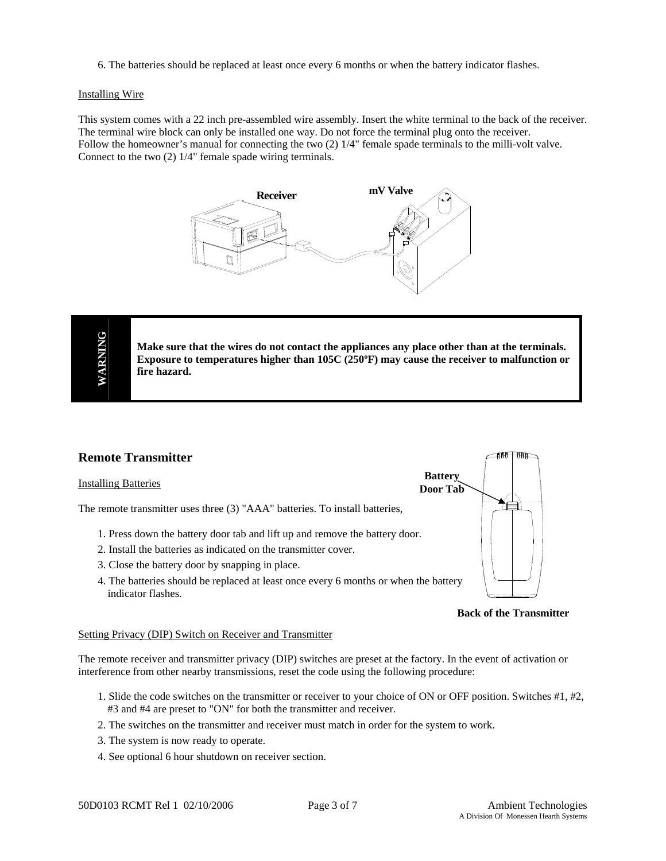6. The batteries should be replaced at least once every 6 months or when the battery indicator flashes.

#### Installing Wire

This system comes with a 22 inch pre-assembled wire assembly. Insert the white terminal to the back of the receiver. The terminal wire block can only be installed one way. Do not force the terminal plug onto the receiver. Follow the homeowner's manual for connecting the two (2)  $1/4$ " female spade terminals to the milli-volt valve. Connect to the two (2) 1/4" female spade wiring terminals.



**Make sure that the wires do not contact the appliances any place other than at the terminals. Exposure to temperatures higher than 105C (250ºF) may cause the receiver to malfunction or fire hazard.**

# **Remote Transmitter**

#### **Installing Batteries**

The remote transmitter uses three (3) "AAA" batteries. To install batteries,

- 1. Press down the battery door tab and lift up and remove the battery door.
- 2. Install the batteries as indicated on the transmitter cover.
- 3. Close the battery door by snapping in place.
- 4. The batteries should be replaced at least once every 6 months or when the battery indicator flashes.



#### **Back of the Transmitter**

#### Setting Privacy (DIP) Switch on Receiver and Transmitter

The remote receiver and transmitter privacy (DIP) switches are preset at the factory. In the event of activation or interference from other nearby transmissions, reset the code using the following procedure:

- 1. Slide the code switches on the transmitter or receiver to your choice of ON or OFF position. Switches #1, #2, #3 and #4 are preset to "ON" for both the transmitter and receiver.
- 2. The switches on the transmitter and receiver must match in order for the system to work.
- 3. The system is now ready to operate.
- 4. See optional 6 hour shutdown on receiver section.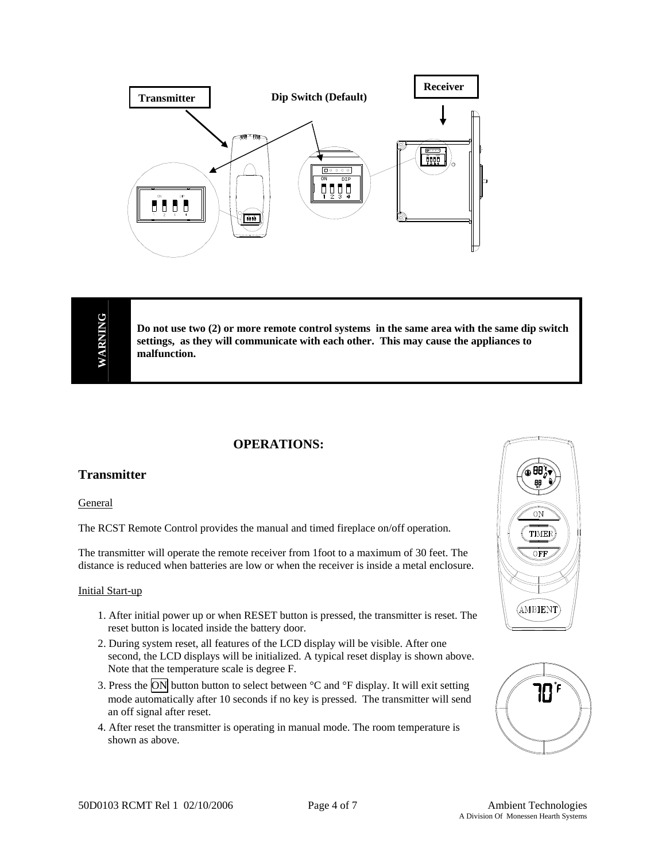

**Do not use two (2) or more remote control systems in the same area with the same dip switch settings, as they will communicate with each other. This may cause the appliances to malfunction.**

# **OPERATIONS:**

# **Transmitter**

**General** 

The RCST Remote Control provides the manual and timed fireplace on/off operation.

The transmitter will operate the remote receiver from 1foot to a maximum of 30 feet. The distance is reduced when batteries are low or when the receiver is inside a metal enclosure.

#### Initial Start-up

- 1. After initial power up or when RESET button is pressed, the transmitter is reset. The reset button is located inside the battery door.
- 2. During system reset, all features of the LCD display will be visible. After one second, the LCD displays will be initialized. A typical reset display is shown above. Note that the temperature scale is degree F.
- 3. Press the ON button button to select between  ${}^{\circ}C$  and  ${}^{\circ}F$  display. It will exit setting mode automatically after 10 seconds if no key is pressed. The transmitter will send an off signal after reset.
- 4. After reset the transmitter is operating in manual mode. The room temperature is shown as above.



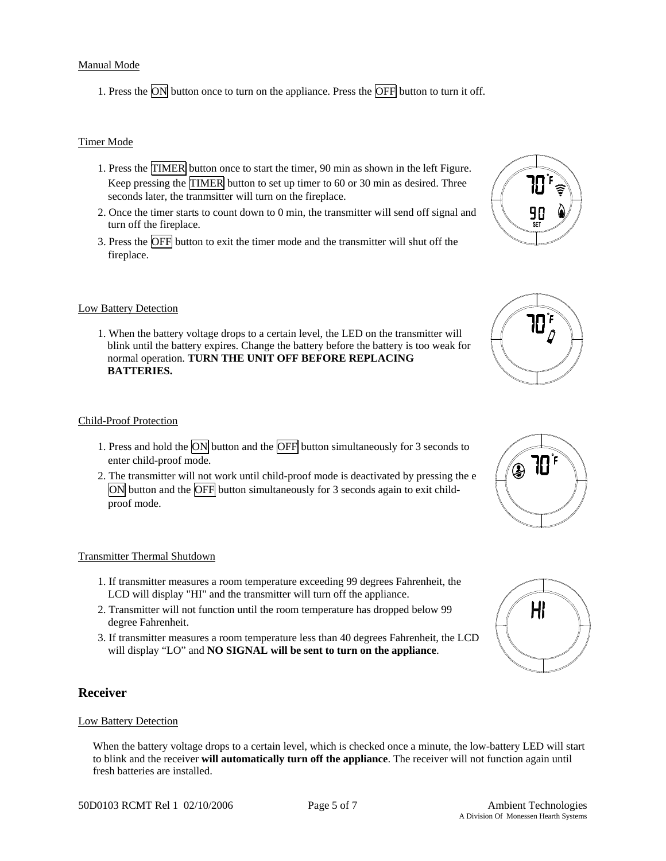#### Manual Mode

1. Press the  $\overline{ON}$  button once to turn on the appliance. Press the  $\overline{OFF}$  button to turn it off.

#### Timer Mode

- 1. Press the TIMER button once to start the timer, 90 min as shown in the left Figure. Keep pressing the TIMER button to set up timer to 60 or 30 min as desired. Three seconds later, the tranmsitter will turn on the fireplace.
- 2. Once the timer starts to count down to 0 min, the transmitter will send off signal and turn off the fireplace.
- 3. Press the OFF button to exit the timer mode and the transmitter will shut off the fireplace.

#### **Low Battery Detection**

1. When the battery voltage drops to a certain level, the LED on the transmitter will blink until the battery expires. Change the battery before the battery is too weak for normal operation. **TURN THE UNIT OFF BEFORE REPLACING BATTERIES.** 

#### Child-Proof Protection

- 1. Press and hold the ON button and the OFF button simultaneously for 3 seconds to enter child-proof mode.
- 2. The transmitter will not work until child-proof mode is deactivated by pressing the e ON button and the OFF button simultaneously for 3 seconds again to exit childproof mode.

#### Transmitter Thermal Shutdown

- 1. If transmitter measures a room temperature exceeding 99 degrees Fahrenheit, the LCD will display "HI" and the transmitter will turn off the appliance.
- 2. Transmitter will not function until the room temperature has dropped below 99 degree Fahrenheit.
- 3. If transmitter measures a room temperature less than 40 degrees Fahrenheit, the LCD will display "LO" and **NO SIGNAL will be sent to turn on the appliance**.

#### **Receiver**

#### Low Battery Detection

When the battery voltage drops to a certain level, which is checked once a minute, the low-battery LED will start to blink and the receiver **will automatically turn off the appliance**. The receiver will not function again until fresh batteries are installed.







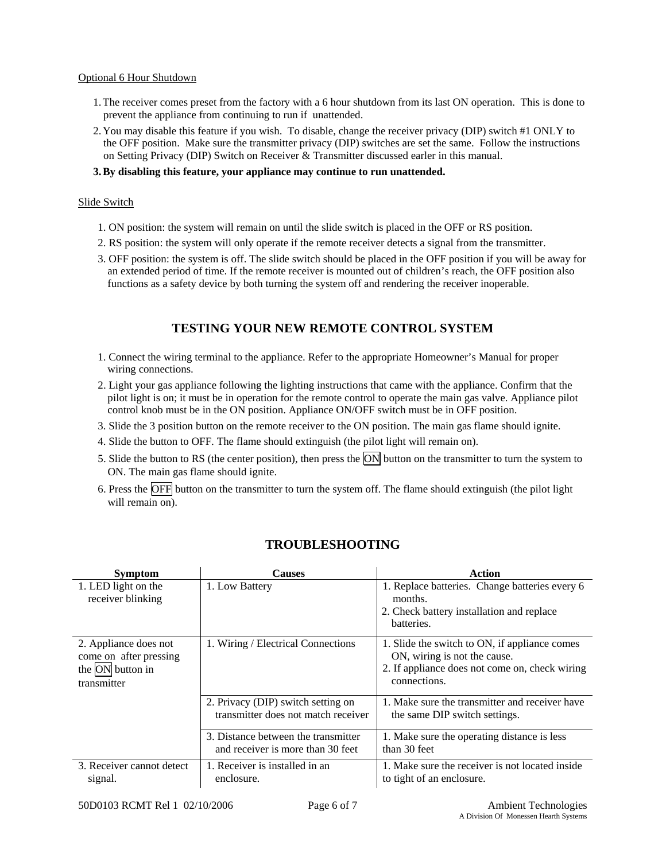#### Optional 6 Hour Shutdown

- 1.The receiver comes preset from the factory with a 6 hour shutdown from its last ON operation. This is done to prevent the appliance from continuing to run if unattended.
- 2.You may disable this feature if you wish. To disable, change the receiver privacy (DIP) switch #1 ONLY to the OFF position. Make sure the transmitter privacy (DIP) switches are set the same. Follow the instructions on Setting Privacy (DIP) Switch on Receiver & Transmitter discussed earler in this manual.
- **3.By disabling this feature, your appliance may continue to run unattended.**

#### Slide Switch

- 1. ON position: the system will remain on until the slide switch is placed in the OFF or RS position.
- 2. RS position: the system will only operate if the remote receiver detects a signal from the transmitter.
- 3. OFF position: the system is off. The slide switch should be placed in the OFF position if you will be away for an extended period of time. If the remote receiver is mounted out of children's reach, the OFF position also functions as a safety device by both turning the system off and rendering the receiver inoperable.

# **TESTING YOUR NEW REMOTE CONTROL SYSTEM**

- 1. Connect the wiring terminal to the appliance. Refer to the appropriate Homeowner's Manual for proper wiring connections.
- 2. Light your gas appliance following the lighting instructions that came with the appliance. Confirm that the pilot light is on; it must be in operation for the remote control to operate the main gas valve. Appliance pilot control knob must be in the ON position. Appliance ON/OFF switch must be in OFF position.
- 3. Slide the 3 position button on the remote receiver to the ON position. The main gas flame should ignite.
- 4. Slide the button to OFF. The flame should extinguish (the pilot light will remain on).
- 5. Slide the button to RS (the center position), then press the ON button on the transmitter to turn the system to ON. The main gas flame should ignite.
- 6. Press the OFF button on the transmitter to turn the system off. The flame should extinguish (the pilot light will remain on).

# **TROUBLESHOOTING**

| <b>Symptom</b>                                                      | <b>Causes</b>                                                             | Action                                                                                                                          |
|---------------------------------------------------------------------|---------------------------------------------------------------------------|---------------------------------------------------------------------------------------------------------------------------------|
| 1. LED light on the<br>receiver blinking                            | 1. Low Battery                                                            | 1. Replace batteries. Change batteries every 6<br>months.                                                                       |
|                                                                     |                                                                           | 2. Check battery installation and replace<br>batteries.                                                                         |
| 2. Appliance does not<br>come on after pressing<br>the ON button in | 1. Wiring / Electrical Connections                                        | 1. Slide the switch to ON, if appliance comes<br>ON, wiring is not the cause.<br>2. If appliance does not come on, check wiring |
| transmitter                                                         |                                                                           | connections.                                                                                                                    |
|                                                                     | 2. Privacy (DIP) switch setting on<br>transmitter does not match receiver | 1. Make sure the transmitter and receiver have<br>the same DIP switch settings.                                                 |
|                                                                     | 3. Distance between the transmitter<br>and receiver is more than 30 feet  | 1. Make sure the operating distance is less<br>than 30 feet                                                                     |
| 3. Receiver cannot detect<br>signal.                                | 1. Receiver is installed in an<br>enclosure.                              | 1. Make sure the receiver is not located inside<br>to tight of an enclosure.                                                    |